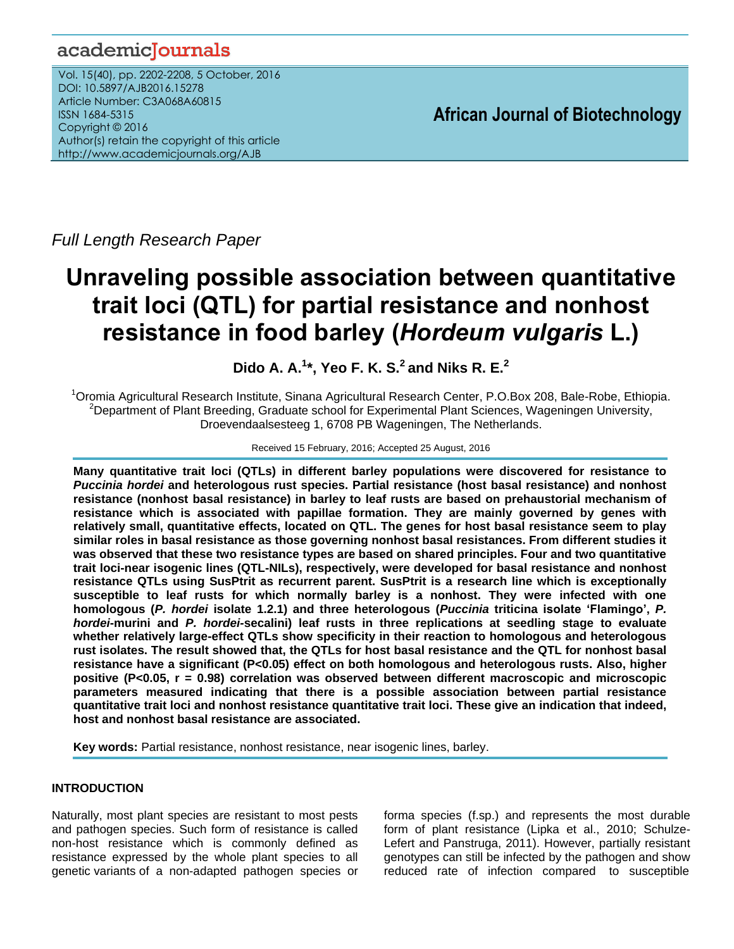# academicJournals

Vol. 15(40), pp. 2202-2208, 5 October, 2016 DOI: 10.5897/AJB2016.15278 Article Number: C3A068A60815 ISSN 1684-5315 Copyright © 2016 Author(s) retain the copyright of this article http://www.academicjournals.org/AJB

**African Journal of Biotechnology**

*Full Length Research Paper*

# **Unraveling possible association between quantitative trait loci (QTL) for partial resistance and nonhost resistance in food barley (***Hordeum vulgaris* **L.)**

# **Dido A. A.<sup>1</sup> \*, Yeo F. K. S.<sup>2</sup> and Niks R. E.<sup>2</sup>**

<sup>1</sup>Oromia Agricultural Research Institute, Sinana Agricultural Research Center, P.O.Box 208, Bale-Robe, Ethiopia. <sup>2</sup>Department of Plant Breeding, Graduate school for Experimental Plant Sciences, Wageningen University, Droevendaalsesteeg 1, 6708 PB Wageningen, The Netherlands.

# Received 15 February, 2016; Accepted 25 August, 2016

**Many quantitative trait loci (QTLs) in different barley populations were discovered for resistance to**  *Puccinia hordei* **and heterologous rust species. Partial resistance (host basal resistance) and nonhost resistance (nonhost basal resistance) in barley to leaf rusts are based on prehaustorial mechanism of resistance which is associated with papillae formation. They are mainly governed by genes with relatively small, quantitative effects, located on QTL. The genes for host basal resistance seem to play similar roles in basal resistance as those governing nonhost basal resistances. From different studies it was observed that these two resistance types are based on shared principles. Four and two quantitative trait loci-near isogenic lines (QTL-NILs), respectively, were developed for basal resistance and nonhost resistance QTLs using SusPtrit as recurrent parent. SusPtrit is a research line which is exceptionally susceptible to leaf rusts for which normally barley is a nonhost. They were infected with one homologous (***P. hordei* **isolate 1.2.1) and three heterologous (***Puccinia* **triticina isolate 'Flamingo',** *P. hordei***-murini and** *P. hordei-***secalini) leaf rusts in three replications at seedling stage to evaluate whether relatively large-effect QTLs show specificity in their reaction to homologous and heterologous rust isolates. The result showed that, the QTLs for host basal resistance and the QTL for nonhost basal resistance have a significant (P<0.05) effect on both homologous and heterologous rusts. Also, higher positive (P<0.05, r = 0.98) correlation was observed between different macroscopic and microscopic parameters measured indicating that there is a possible association between partial resistance quantitative trait loci and nonhost resistance quantitative trait loci. These give an indication that indeed, host and nonhost basal resistance are associated.** 

**Key words:** Partial resistance, nonhost resistance, near isogenic lines, barley.

# **INTRODUCTION**

Naturally, most plant species are resistant to most pests and pathogen species. Such form of resistance is called non-host resistance which is commonly defined as resistance expressed by the whole plant species to all genetic variants of a non-adapted pathogen species or

forma species (f.sp.) and represents the most durable form of plant resistance (Lipka et al., 2010; Schulze-Lefert and Panstruga, 2011). However, partially resistant genotypes can still be infected by the pathogen and show reduced rate of infection compared to susceptible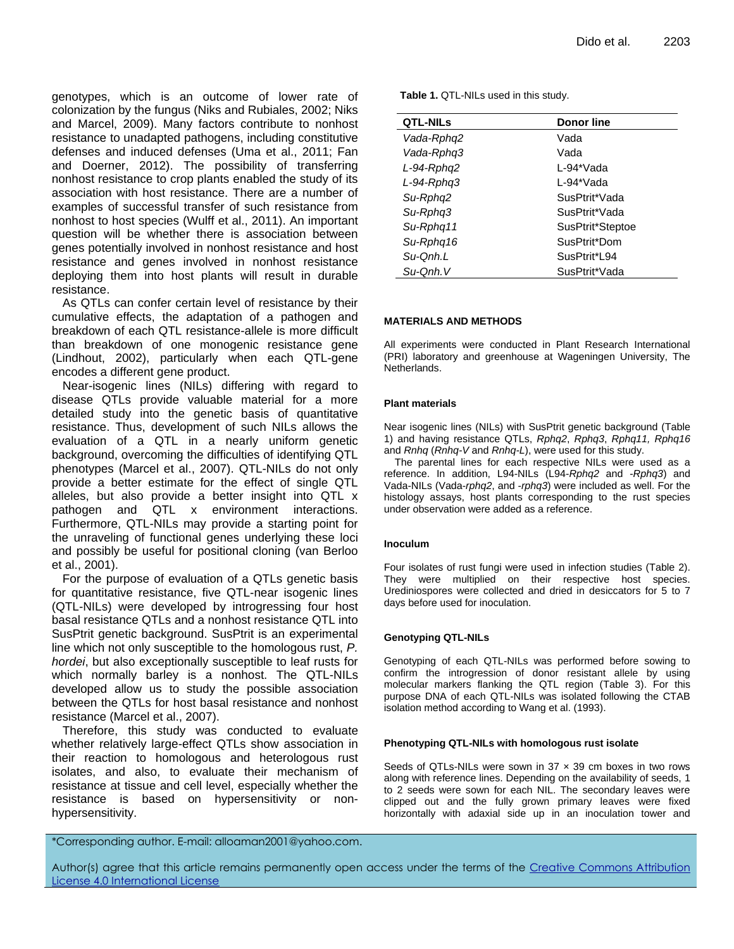genotypes, which is an outcome of lower rate of colonization by the fungus (Niks and Rubiales, 2002; Niks and Marcel, 2009). Many factors contribute to nonhost resistance to unadapted pathogens, including constitutive defenses and induced defenses (Uma et al., 2011; Fan and Doerner, 2012). The possibility of transferring nonhost resistance to crop plants enabled the study of its association with host resistance. There are a number of examples of successful transfer of such resistance from nonhost to host species (Wulff et al., 2011). An important question will be whether there is association between genes potentially involved in nonhost resistance and host resistance and genes involved in nonhost resistance deploying them into host plants will result in durable resistance.

As QTLs can confer certain level of resistance by their cumulative effects, the adaptation of a pathogen and breakdown of each QTL resistance-allele is more difficult than breakdown of one monogenic resistance gene (Lindhout, 2002), particularly when each QTL-gene encodes a different gene product.

Near-isogenic lines (NILs) differing with regard to disease QTLs provide valuable material for a more detailed study into the genetic basis of quantitative resistance. Thus, development of such NILs allows the evaluation of a QTL in a nearly uniform genetic background, overcoming the difficulties of identifying QTL phenotypes (Marcel et al., 2007). QTL-NILs do not only provide a better estimate for the effect of single QTL alleles, but also provide a better insight into QTL x pathogen and QTL x environment interactions. Furthermore, QTL-NILs may provide a starting point for the unraveling of functional genes underlying these loci and possibly be useful for positional cloning (van Berloo et al., 2001).

For the purpose of evaluation of a QTLs genetic basis for quantitative resistance, five QTL-near isogenic lines (QTL-NILs) were developed by introgressing four host basal resistance QTLs and a nonhost resistance QTL into SusPtrit genetic background. SusPtrit is an experimental line which not only susceptible to the homologous rust, *P. hordei*, but also exceptionally susceptible to leaf rusts for which normally barley is a nonhost. The QTL-NILs developed allow us to study the possible association between the QTLs for host basal resistance and nonhost resistance (Marcel et al., 2007).

Therefore, this study was conducted to evaluate whether relatively large-effect QTLs show association in their reaction to homologous and heterologous rust isolates, and also, to evaluate their mechanism of resistance at tissue and cell level, especially whether the resistance is based on hypersensitivity or nonhypersensitivity.

**Table 1.** QTL-NILs used in this study.

| <b>QTL-NILs</b> | <b>Donor line</b> |
|-----------------|-------------------|
| Vada-Rphq2      | Vada              |
| Vada-Rphq3      | Vada              |
| L-94-Rphq2      | L-94*Vada         |
| L-94-Rpha3      | L-94*Vada         |
| Su-Rpha2        | SusPtrit*Vada     |
| Su-Rpha3        | SusPtrit*Vada     |
| Su-Rpha11       | SusPtrit*Steptoe  |
| Su-Rphq16       | SusPtrit*Dom      |
| Su-Onh.L        | SusPtrit*L94      |
| Su-Onh. V       | SusPtrit*Vada     |

#### **MATERIALS AND METHODS**

All experiments were conducted in Plant Research International (PRI) laboratory and greenhouse at Wageningen University, The Netherlands.

#### **Plant materials**

Near isogenic lines (NILs) with SusPtrit genetic background (Table 1) and having resistance QTLs, *Rphq2*, *Rphq3*, *Rphq11, Rphq16*  and *Rnhq* (*Rnhq-V* and *Rnhq-L*), were used for this study.

The parental lines for each respective NILs were used as a reference. In addition, L94-NILs (L94-*Rphq2* and -*Rphq3*) and Vada-NILs (Vada-*rphq2*, and -*rphq3*) were included as well. For the histology assays, host plants corresponding to the rust species under observation were added as a reference.

#### **Inoculum**

Four isolates of rust fungi were used in infection studies (Table 2). They were multiplied on their respective host species. Urediniospores were collected and dried in desiccators for 5 to 7 days before used for inoculation.

#### **Genotyping QTL-NILs**

Genotyping of each QTL-NILs was performed before sowing to confirm the introgression of donor resistant allele by using molecular markers flanking the QTL region (Table 3). For this purpose DNA of each QTL-NILs was isolated following the CTAB isolation method according to Wang et al. (1993).

#### **Phenotyping QTL-NILs with homologous rust isolate**

Seeds of QTLs-NILs were sown in 37  $\times$  39 cm boxes in two rows along with reference lines. Depending on the availability of seeds, 1 to 2 seeds were sown for each NIL. The secondary leaves were clipped out and the fully grown primary leaves were fixed horizontally with adaxial side up in an inoculation tower and

\*Corresponding author. E-mail: alloaman2001@yahoo.com.

Author(s) agree that this article remains permanently open access under the terms of the Creative Commons Attribution [License 4.0 International License](http://creativecommons.org/licenses/by/4.0/deed.en_US)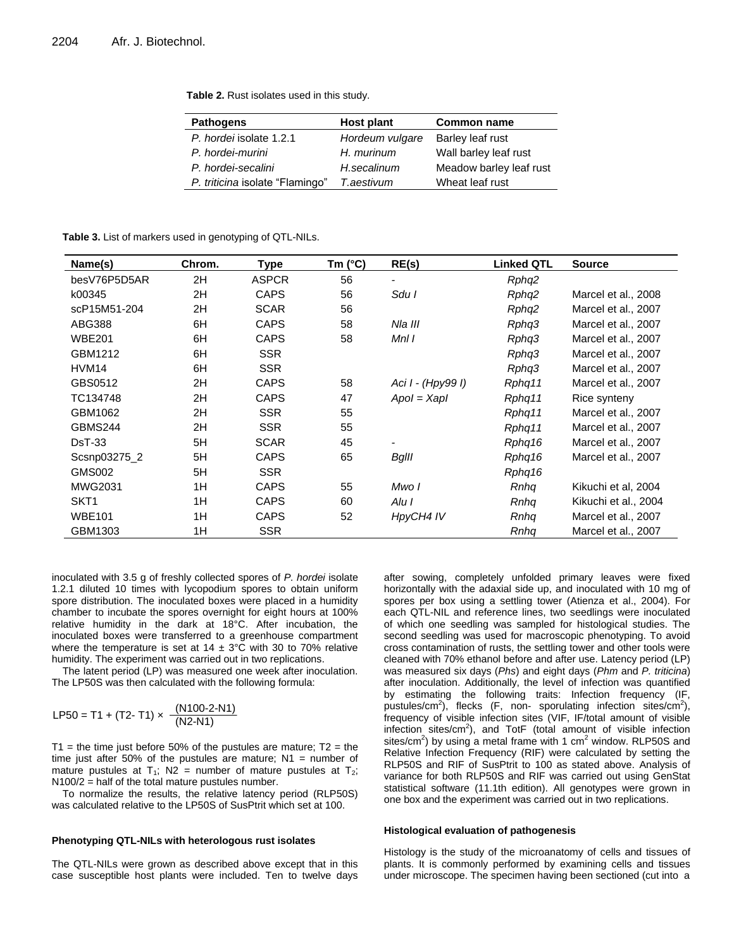|  | Table 2. Rust isolates used in this study. |  |  |  |
|--|--------------------------------------------|--|--|--|
|--|--------------------------------------------|--|--|--|

| <b>Pathogens</b>                | Host plant      | <b>Common name</b>      |
|---------------------------------|-----------------|-------------------------|
| P. hordei isolate 1.2.1         | Hordeum vulgare | Barley leaf rust        |
| P. hordei-murini                | H. murinum      | Wall barley leaf rust   |
| P. hordei-secalini              | H.secalinum     | Meadow barley leaf rust |
| P. triticina isolate "Flamingo" | T.aestivum      | Wheat leaf rust         |

**Table 3.** List of markers used in genotyping of QTL-NILs.

| Name(s)          | Chrom. | Type         | Tm $(^{\circ}C)$ | RE(s)             | <b>Linked QTL</b> | <b>Source</b>        |
|------------------|--------|--------------|------------------|-------------------|-------------------|----------------------|
| besV76P5D5AR     | 2H     | <b>ASPCR</b> | 56               |                   | Rphq2             |                      |
| k00345           | 2H     | <b>CAPS</b>  | 56               | Sdu I             | Rphq2             | Marcel et al., 2008  |
| scP15M51-204     | 2H     | <b>SCAR</b>  | 56               |                   | Rphq2             | Marcel et al., 2007  |
| ABG388           | 6H     | <b>CAPS</b>  | 58               | Nla III           | Rphq3             | Marcel et al., 2007  |
| <b>WBE201</b>    | 6H     | <b>CAPS</b>  | 58               | MnI I             | Rphq3             | Marcel et al., 2007  |
| GBM1212          | 6H     | <b>SSR</b>   |                  |                   | Rphq3             | Marcel et al., 2007  |
| HVM14            | 6H     | <b>SSR</b>   |                  |                   | Rphq3             | Marcel et al., 2007  |
| GBS0512          | 2H     | <b>CAPS</b>  | 58               | Aci I - (Hpy99 I) | Rphq11            | Marcel et al., 2007  |
| TC134748         | 2H     | <b>CAPS</b>  | 47               | $Apol = XapI$     | Rphq11            | Rice synteny         |
| GBM1062          | 2H     | <b>SSR</b>   | 55               |                   | Rphq11            | Marcel et al., 2007  |
| GBMS244          | 2H     | <b>SSR</b>   | 55               |                   | Rphq11            | Marcel et al., 2007  |
| <b>DsT-33</b>    | 5H     | <b>SCAR</b>  | 45               |                   | Rphq16            | Marcel et al., 2007  |
| Scsnp03275_2     | 5H     | <b>CAPS</b>  | 65               | <b>BgIII</b>      | Rphq16            | Marcel et al., 2007  |
| <b>GMS002</b>    | 5H     | <b>SSR</b>   |                  |                   | Rphq16            |                      |
| <b>MWG2031</b>   | 1H     | <b>CAPS</b>  | 55               | Mwo I             | Rnha              | Kikuchi et al, 2004  |
| SKT <sub>1</sub> | 1H     | <b>CAPS</b>  | 60               | Alu I             | Rnha              | Kikuchi et al., 2004 |
| <b>WBE101</b>    | 1H     | <b>CAPS</b>  | 52               | HpyCH4 IV         | Rnha              | Marcel et al., 2007  |
| GBM1303          | 1H     | <b>SSR</b>   |                  |                   | Rnha              | Marcel et al., 2007  |

inoculated with 3.5 g of freshly collected spores of *P. hordei* isolate 1.2.1 diluted 10 times with lycopodium spores to obtain uniform spore distribution. The inoculated boxes were placed in a humidity chamber to incubate the spores overnight for eight hours at 100% relative humidity in the dark at 18°C. After incubation, the inoculated boxes were transferred to a greenhouse compartment where the temperature is set at  $14 \pm 3^{\circ}$ C with 30 to 70% relative humidity. The experiment was carried out in two replications.

The latent period (LP) was measured one week after inoculation. The LP50S was then calculated with the following formula:

$$
LP50 = T1 + (T2 - T1) \times \frac{(N100 - 2 - N1)}{(N2 - N1)}
$$

T1 = the time just before 50% of the pustules are mature;  $T2 =$  the time just after 50% of the pustules are mature;  $N1$  = number of mature pustules at  $T_1$ ; N2 = number of mature pustules at  $T_2$ ;  $N100/2$  = half of the total mature pustules number.

To normalize the results, the relative latency period (RLP50S) was calculated relative to the LP50S of SusPtrit which set at 100.

#### **Phenotyping QTL-NILs with heterologous rust isolates**

The QTL-NILs were grown as described above except that in this case susceptible host plants were included. Ten to twelve days

after sowing, completely unfolded primary leaves were fixed horizontally with the adaxial side up, and inoculated with 10 mg of spores per box using a settling tower (Atienza et al., 2004). For each QTL-NIL and reference lines, two seedlings were inoculated of which one seedling was sampled for histological studies. The second seedling was used for macroscopic phenotyping. To avoid cross contamination of rusts, the settling tower and other tools were cleaned with 70% ethanol before and after use. Latency period (LP) was measured six days (*Phs*) and eight days (*Phm* and *P. triticina*) after inoculation. Additionally, the level of infection was quantified by estimating the following traits: Infection frequency (IF, pustules/cm<sup>2</sup>), flecks (F, non- sporulating infection sites/cm<sup>2</sup>), frequency of visible infection sites (VIF, IF/total amount of visible infection sites/ $cm^2$ ), and TotF (total amount of visible infection sites/cm<sup>2</sup>) by using a metal frame with 1 cm<sup>2</sup> window. RLP50S and Relative Infection Frequency (RIF) were calculated by setting the RLP50S and RIF of SusPtrit to 100 as stated above. Analysis of variance for both RLP50S and RIF was carried out using GenStat statistical software (11.1th edition). All genotypes were grown in one box and the experiment was carried out in two replications.

#### **Histological evaluation of pathogenesis**

Histology is the study of the microanatomy of cells and tissues of plants. It is commonly performed by examining cells and tissues under microscope. The specimen having been sectioned (cut into a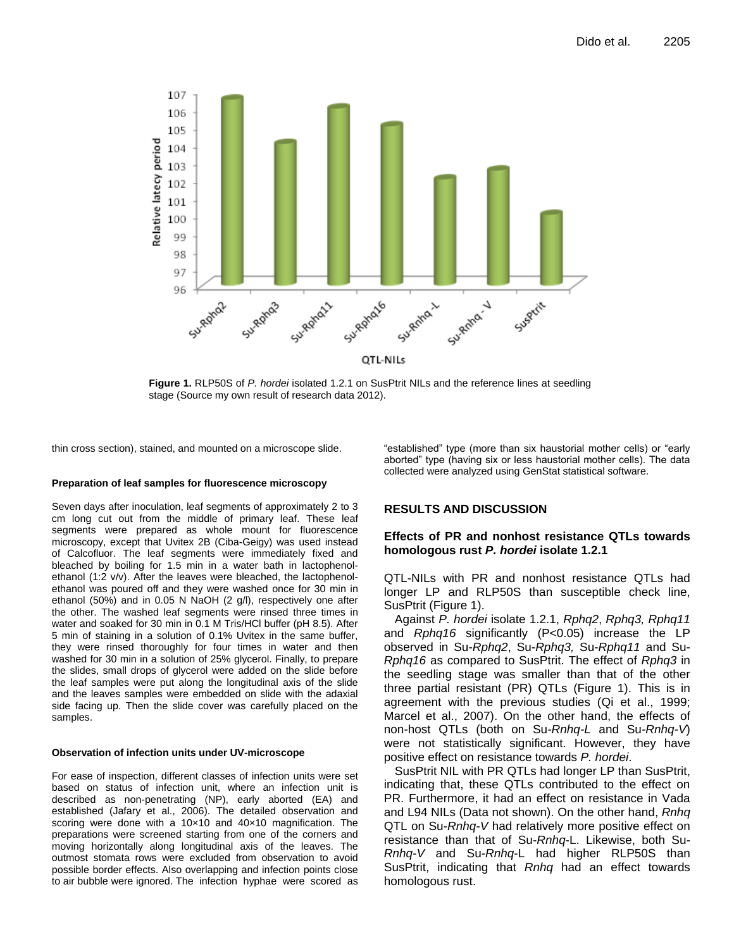

**Figure 1.** RLP50S of *P. hordei* isolated 1.2.1 on SusPtrit NILs and the reference lines at seedling stage (Source my own result of research data 2012).

thin cross section), stained, and mounted on a microscope slide.

#### **Preparation of leaf samples for fluorescence microscopy**

Seven days after inoculation, leaf segments of approximately 2 to 3 cm long cut out from the middle of primary leaf. These leaf segments were prepared as whole mount for fluorescence microscopy, except that Uvitex 2B (Ciba-Geigy) was used instead of Calcofluor. The leaf segments were immediately fixed and bleached by boiling for 1.5 min in a water bath in lactophenolethanol (1:2 v/v). After the leaves were bleached, the lactophenolethanol was poured off and they were washed once for 30 min in ethanol (50%) and in 0.05 N NaOH (2 g/l), respectively one after the other. The washed leaf segments were rinsed three times in water and soaked for 30 min in 0.1 M Tris/HCl buffer (pH 8.5). After 5 min of staining in a solution of 0.1% Uvitex in the same buffer, they were rinsed thoroughly for four times in water and then washed for 30 min in a solution of 25% glycerol. Finally, to prepare the slides, small drops of glycerol were added on the slide before the leaf samples were put along the longitudinal axis of the slide and the leaves samples were embedded on slide with the adaxial side facing up. Then the slide cover was carefully placed on the samples.

#### **Observation of infection units under UV-microscope**

For ease of inspection, different classes of infection units were set based on status of infection unit, where an infection unit is described as non-penetrating (NP), early aborted (EA) and established (Jafary et al., 2006). The detailed observation and scoring were done with a 10×10 and 40×10 magnification. The preparations were screened starting from one of the corners and moving horizontally along longitudinal axis of the leaves. The outmost stomata rows were excluded from observation to avoid possible border effects. Also overlapping and infection points close to air bubble were ignored. The infection hyphae were scored as "established" type (more than six haustorial mother cells) or "early aborted" type (having six or less haustorial mother cells). The data collected were analyzed using GenStat statistical software.

## **RESULTS AND DISCUSSION**

## **Effects of PR and nonhost resistance QTLs towards homologous rust** *P. hordei* **isolate 1.2.1**

QTL-NILs with PR and nonhost resistance QTLs had longer LP and RLP50S than susceptible check line, SusPtrit (Figure 1).

Against *P. hordei* isolate 1.2.1, *Rphq2*, *Rphq3, Rphq11*  and *Rphq16* significantly (P<0.05) increase the LP observed in Su-*Rphq2*, Su-*Rphq3,* Su-*Rphq11* and Su-*Rphq16* as compared to SusPtrit. The effect of *Rphq3* in the seedling stage was smaller than that of the other three partial resistant (PR) QTLs (Figure 1). This is in agreement with the previous studies (Qi et al., 1999; Marcel et al., 2007). On the other hand, the effects of non-host QTLs (both on Su*-Rnhq-L* and Su*-Rnhq-V*) were not statistically significant. However, they have positive effect on resistance towards *P. hordei*.

SusPtrit NIL with PR QTLs had longer LP than SusPtrit, indicating that, these QTLs contributed to the effect on PR. Furthermore, it had an effect on resistance in Vada and L94 NILs (Data not shown). On the other hand, *Rnhq* QTL on Su-*Rnhq-V* had relatively more positive effect on resistance than that of Su-*Rnhq*-L. Likewise, both Su-*Rnhq-V* and Su-*Rnhq*-L had higher RLP50S than SusPtrit, indicating that *Rnhq* had an effect towards homologous rust.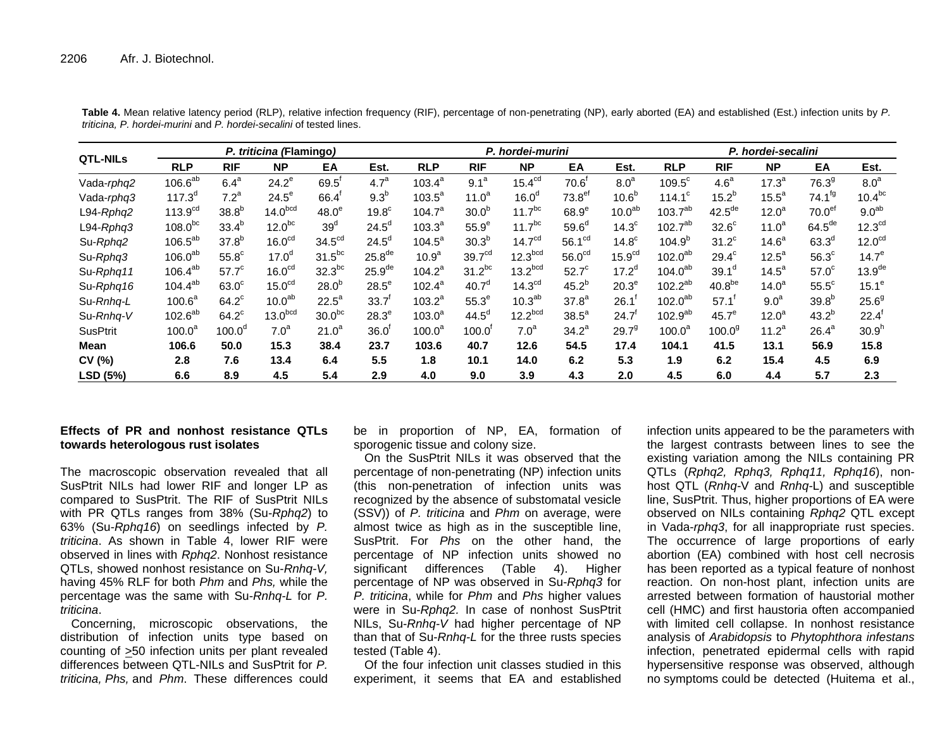| <b>QTL-NILs</b> | P. triticina (Flamingo) |                    |                     |                    |                    | P. hordei-murini   |                      |                     |                    | P. hordei-secalini |                     |                    |                   |                      |                    |
|-----------------|-------------------------|--------------------|---------------------|--------------------|--------------------|--------------------|----------------------|---------------------|--------------------|--------------------|---------------------|--------------------|-------------------|----------------------|--------------------|
|                 | <b>RLP</b>              | <b>RIF</b>         | <b>NP</b>           | EA                 | Est.               | <b>RLP</b>         | <b>RIF</b>           | <b>NP</b>           | EA                 | Est.               | <b>RLP</b>          | <b>RIF</b>         | <b>NP</b>         | EA                   | Est.               |
| Vada-rphq2      | $106.6^{ab}$            | 6.4 <sup>a</sup>   | $24.2^e$            | $69.5^{\circ}$     | 4.7 <sup>a</sup>   | $103.4^a$          | 9.1 <sup>a</sup>     | 15.4 <sup>cd</sup>  | 70.6 <sup>r</sup>  | 8.0 <sup>a</sup>   | $109.5^{\circ}$     | 4.6 <sup>a</sup>   | 17.3 <sup>a</sup> | 76.3 <sup>9</sup>    | 8.0 <sup>a</sup>   |
| Vada-rphq3      | $117.3^{d}$             | 7.2 <sup>a</sup>   | $24.5^{\circ}$      | 66.4               | 9.3 <sup>b</sup>   | $103.5^{\circ}$    | $11.0^a$             | 16.0 <sup>d</sup>   | 73.8 <sup>ef</sup> | 10.6 <sup>b</sup>  | $114.1^c$           | $15.2^{b}$         | $15.5^a$          | $74.1^{fg}$          | $10.4^{bc}$        |
| L94-Rphq2       | 113.9 <sup>cd</sup>     | 38.8 <sup>b</sup>  | 14.0 <sup>bcd</sup> | 48.0 <sup>e</sup>  | 19.8 <sup>c</sup>  | 104.7 <sup>a</sup> | 30.0 <sup>b</sup>    | $11.7^{bc}$         | 68.9 <sup>e</sup>  | 10.0 <sup>ab</sup> | $103.7^{ab}$        | $42.5^{\text{de}}$ | 12.0 <sup>a</sup> | 70.0 <sup>ef</sup>   | 9.0 <sup>ab</sup>  |
| $L94-Rphq3$     | $108.0^{bc}$            | $33.4^{b}$         | $12.0^{bc}$         | 39 <sup>d</sup>    | $24.5^{\circ}$     | $103.3^{a}$        | 55.9 <sup>e</sup>    | 11.7 <sup>bc</sup>  | $59.6^\circ$       | 14.3 <sup>c</sup>  | $102.7^{ab}$        | $32.6^\circ$       | $11.0^a$          | $64.5$ <sup>de</sup> | 12.3 <sup>cd</sup> |
| Su-Rphq2        | $106.5^{ab}$            | $37.8^{b}$         | 16.0 <sup>cd</sup>  | 34.5 <sup>cd</sup> | $24.5^{\circ}$     | $104.5^a$          | 30.3 <sup>b</sup>    | 14.7 <sup>cd</sup>  | 56.1 <sup>cd</sup> | 14.8 <sup>c</sup>  | $104.9^{b}$         | $31.2^{\circ}$     | 14.6 <sup>a</sup> | 63.3 <sup>d</sup>    | 12.0 <sup>cd</sup> |
| Su-Rphq3        | $106.0^{ab}$            | $55.8^{\circ}$     | 17.0 <sup>d</sup>   | $31.5^{bc}$        | 25.8 <sup>de</sup> | 10.9 <sup>a</sup>  | 39.7 <sup>cd</sup>   | 12.3 <sup>bcd</sup> | 56.0 <sup>cd</sup> | 15.9 <sup>cd</sup> | 102.0 <sup>ab</sup> | $29.4^\circ$       | $12.5^a$          | $56.3^\circ$         | $14.7^e$           |
| Su-Rphq11       | $106.4^{ab}$            | $57.7^{\circ}$     | 16.0 <sup>cd</sup>  | $32.3^{bc}$        | 25.9 <sup>de</sup> | $104.2^a$          | $31.2^{bc}$          | 13.2 <sup>bcd</sup> | $52.7^{\circ}$     | $17.2^d$           | $104.0^{ab}$        | 39.1 <sup>d</sup>  | 14.5 <sup>a</sup> | 57.0 <sup>c</sup>    | 13.9 <sup>de</sup> |
| Su-Rphq16       | $104.4^{ab}$            | $63.0^\circ$       | 15.0 <sup>cd</sup>  | 28.0 <sup>b</sup>  | $28.5^{\circ}$     | $102.4^a$          | 40.7 <sup>d</sup>    | 14.3 <sup>cd</sup>  | $45.2^{b}$         | 20.3 <sup>e</sup>  | $102.2^{ab}$        | 40.8 <sup>be</sup> | 14.0 <sup>a</sup> | $55.5^{\circ}$       | $15.1^e$           |
| Su-Rnhq-L       | 100.6 <sup>a</sup>      | $64.2^{\circ}$     | 10.0 <sup>ab</sup>  | $22.5^a$           | 33.7               | $103.2^a$          | 55.3 <sup>e</sup>    | 10.3 <sup>ab</sup>  | $37.8^{a}$         | 26.1               | 102.0 <sup>ab</sup> | 57.1               | 9.0 <sup>a</sup>  | $39.8^{b}$           | $25.6^9$           |
| Su-Rnhq-V       | $102.6^{ab}$            | $64.2^{\circ}$     | 13.0 <sup>bcd</sup> | 30.0 <sup>bc</sup> | $28.3^e$           | $103.0^a$          | $44.5^\circ$         | 12.2 <sup>bcd</sup> | $38.5^a$           | $24.7^{\circ}$     | 102.9 <sup>ab</sup> | 45.7 <sup>e</sup>  | 12.0 <sup>a</sup> | $43.2^{b}$           | 22.4               |
| <b>SusPtrit</b> | 100.0 <sup>a</sup>      | 100.0 <sup>d</sup> | 7.0 <sup>a</sup>    | $21.0^a$           | $36.0^{\circ}$     | 100.0 <sup>a</sup> | $100.0$ <sup>1</sup> | 7.0 <sup>a</sup>    | $34.2^a$           | 29.7 <sup>9</sup>  | $100.0^a$           | 100.0 <sup>9</sup> | $11.2^a$          | 26.4 <sup>a</sup>    | 30.9 <sup>h</sup>  |
| Mean            | 106.6                   | 50.0               | 15.3                | 38.4               | 23.7               | 103.6              | 40.7                 | 12.6                | 54.5               | 17.4               | 104.1               | 41.5               | 13.1              | 56.9                 | 15.8               |
| CV(%)           | 2.8                     | 7.6                | 13.4                | 6.4                | 5.5                | 1.8                | 10.1                 | 14.0                | 6.2                | 5.3                | 1.9                 | 6.2                | 15.4              | 4.5                  | 6.9                |
| LSD (5%)        | 6.6                     | 8.9                | 4.5                 | 5.4                | 2.9                | 4.0                | 9.0                  | 3.9                 | 4.3                | 2.0                | 4.5                 | 6.0                | 4.4               | 5.7                  | 2.3                |

**Table 4.** Mean relative latency period (RLP), relative infection frequency (RIF), percentage of non-penetrating (NP), early aborted (EA) and established (Est.) infection units by *P. triticina, P. hordei-murini* and *P. hordei-secalini* of tested lines.

# **Effects of PR and nonhost resistance QTLs towards heterologous rust isolates**

The macroscopic observation revealed that all SusPtrit NILs had lower RIF and longer LP as compared to SusPtrit. The RIF of SusPtrit NILs with PR QTLs ranges from 38% (Su-*Rphq2*) to 63% (Su-*Rphq16*) on seedlings infected by *P. triticina*. As shown in Table 4, lower RIF were observed in lines with *Rphq2*. Nonhost resistance QTLs, showed nonhost resistance on Su-*Rnhq-V,*  having 45% RLF for both *Phm* and *Phs,* while the percentage was the same with Su-*Rnhq-L* for *P. triticina*.

Concerning, microscopic observations, the distribution of infection units type based on counting of >50 infection units per plant revealed differences between QTL-NILs and SusPtrit for *P. triticina, Phs,* and *Phm*. These differences could be in proportion of NP, EA, formation of sporogenic tissue and colony size.

On the SusPtrit NILs it was observed that the percentage of non-penetrating (NP) infection units (this non-penetration of infection units was recognized by the absence of substomatal vesicle (SSV)) of *P. triticina* and *Phm* on average, were almost twice as high as in the susceptible line, SusPtrit. For *Phs* on the other hand, the percentage of NP infection units showed no significant differences (Table 4). Higher percentage of NP was observed in Su-*Rphq3* for *P. triticina*, while for *Phm* and *Phs* higher values were in Su-*Rphq2.* In case of nonhost SusPtrit NILs, Su-*Rnhq-V* had higher percentage of NP than that of Su-*Rnhq-L* for the three rusts species tested (Table 4).

Of the four infection unit classes studied in this experiment, it seems that EA and established

infection units appeared to be the parameters with the largest contrasts between lines to see the existing variation among the NILs containing PR QTLs (*Rphq2, Rphq3, Rphq11, Rphq16*), nonhost QTL (*Rnhq-*V and *Rnhq-*L) and susceptible line, SusPtrit. Thus, higher proportions of EA were observed on NILs containing *Rphq2* QTL except in Vada-*rphq3*, for all inappropriate rust species. The occurrence of large proportions of early abortion (EA) combined with host cell necrosis has been reported as a typical feature of nonhost reaction. On non-host plant, infection units are arrested between formation of haustorial mother cell (HMC) and first haustoria often accompanied with limited cell collapse. In nonhost resistance analysis of *Arabidopsis* to *Phytophthora infestans* infection, penetrated epidermal cells with rapid hypersensitive response was observed, although no symptoms could be detected (Huitema et al.,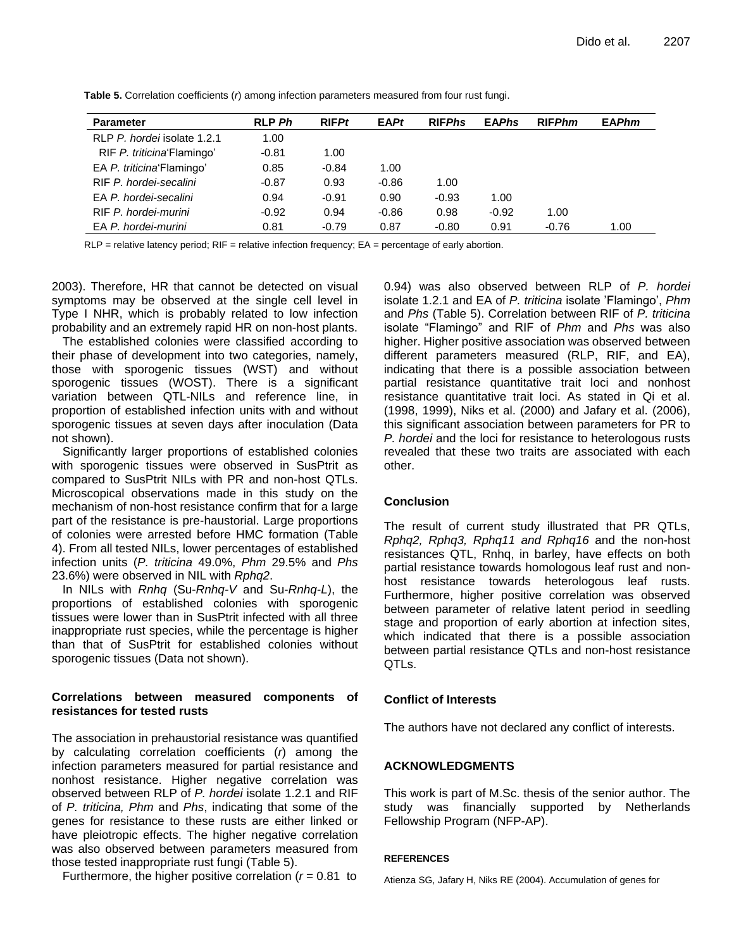| <b>Parameter</b>            | <b>RLP Ph</b> | RIFPt   | <b>EAPt</b> | <b>RIFPhs</b> | <b>EAPhs</b> | <b>RIFPhm</b> | <b>EAPhm</b> |
|-----------------------------|---------------|---------|-------------|---------------|--------------|---------------|--------------|
| RLP P. hordei isolate 1.2.1 | 1.00          |         |             |               |              |               |              |
| RIF P. triticina Flamingo'  | $-0.81$       | 1.00    |             |               |              |               |              |
| EA P. triticina Flamingo'   | 0.85          | $-0.84$ | 1.00        |               |              |               |              |
| RIF P. hordei-secalini      | $-0.87$       | 0.93    | $-0.86$     | 1.00          |              |               |              |
| EA P. hordei-secalini       | 0.94          | $-0.91$ | 0.90        | $-0.93$       | 1.00         |               |              |
| RIF P. hordei-murini        | $-0.92$       | 0.94    | $-0.86$     | 0.98          | $-0.92$      | 1.00          |              |
| EA P. hordei-murini         | 0.81          | $-0.79$ | 0.87        | $-0.80$       | 0.91         | $-0.76$       | 1.00         |

**Table 5.** Correlation coefficients (*r*) among infection parameters measured from four rust fungi.

RLP = relative latency period; RIF = relative infection frequency; EA = percentage of early abortion.

2003). Therefore, HR that cannot be detected on visual symptoms may be observed at the single cell level in Type I NHR, which is probably related to low infection probability and an extremely rapid HR on non-host plants.

The established colonies were classified according to their phase of development into two categories, namely, those with sporogenic tissues (WST) and without sporogenic tissues (WOST). There is a significant variation between QTL-NILs and reference line, in proportion of established infection units with and without sporogenic tissues at seven days after inoculation (Data not shown).

Significantly larger proportions of established colonies with sporogenic tissues were observed in SusPtrit as compared to SusPtrit NILs with PR and non-host QTLs. Microscopical observations made in this study on the mechanism of non-host resistance confirm that for a large part of the resistance is pre-haustorial. Large proportions of colonies were arrested before HMC formation (Table 4). From all tested NILs, lower percentages of established infection units (*P. triticina* 49.0%, *Phm* 29.5% and *Phs* 23.6%) were observed in NIL with *Rphq2*.

In NILs with *Rnhq* (Su-*Rnhq-V* and Su-*Rnhq-L*), the proportions of established colonies with sporogenic tissues were lower than in SusPtrit infected with all three inappropriate rust species, while the percentage is higher than that of SusPtrit for established colonies without sporogenic tissues (Data not shown).

# **Correlations between measured components of resistances for tested rusts**

The association in prehaustorial resistance was quantified by calculating correlation coefficients (*r*) among the infection parameters measured for partial resistance and nonhost resistance. Higher negative correlation was observed between RLP of *P. hordei* isolate 1.2.1 and RIF of *P. triticina, Phm* and *Phs*, indicating that some of the genes for resistance to these rusts are either linked or have pleiotropic effects. The higher negative correlation was also observed between parameters measured from those tested inappropriate rust fungi (Table 5).

Furthermore, the higher positive correlation  $(r = 0.81)$  to

0.94) was also observed between RLP of *P. hordei* isolate 1.2.1 and EA of *P. triticina* isolate "Flamingo", *Phm* and *Phs* (Table 5). Correlation between RIF of *P. triticina* isolate "Flamingo" and RIF of *Phm* and *Phs* was also higher. Higher positive association was observed between different parameters measured (RLP, RIF, and EA), indicating that there is a possible association between partial resistance quantitative trait loci and nonhost resistance quantitative trait loci. As stated in Qi et al. (1998, 1999), Niks et al. (2000) and Jafary et al. (2006), this significant association between parameters for PR to *P. hordei* and the loci for resistance to heterologous rusts revealed that these two traits are associated with each other.

# **Conclusion**

The result of current study illustrated that PR QTLs, *Rphq2, Rphq3, Rphq11 and Rphq16* and the non-host resistances QTL, Rnhq, in barley, have effects on both partial resistance towards homologous leaf rust and nonhost resistance towards heterologous leaf rusts. Furthermore, higher positive correlation was observed between parameter of relative latent period in seedling stage and proportion of early abortion at infection sites, which indicated that there is a possible association between partial resistance QTLs and non-host resistance QTLs.

# **Conflict of Interests**

The authors have not declared any conflict of interests.

# **ACKNOWLEDGMENTS**

This work is part of M.Sc. thesis of the senior author. The study was financially supported by Netherlands Fellowship Program (NFP-AP).

# **REFERENCES**

Atienza SG, Jafary H, Niks RE (2004). Accumulation of genes for